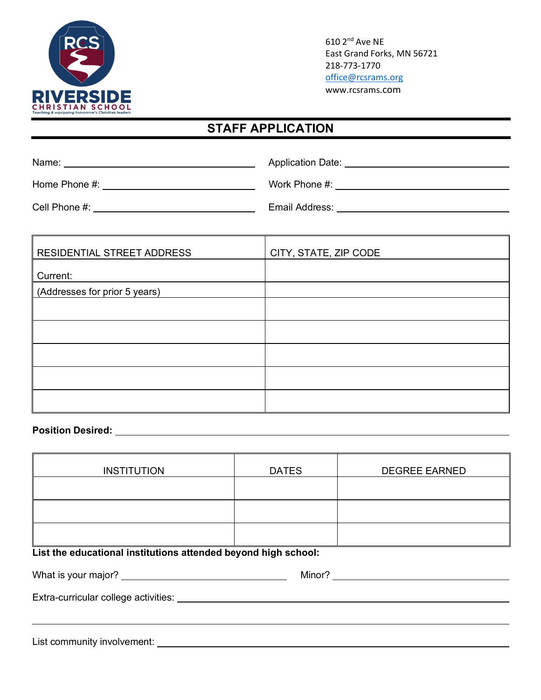

610 2nd Ave NE East Grand Forks, MN 56721 218-773-1770 office@rcsrams.org www.rcsrams.com

### **STAFF APPLICATION**

| Name:         | Application Date: |
|---------------|-------------------|
| Home Phone #: | Work Phone #:     |

Cell Phone #: Email Address:

| RESIDENTIAL STREET ADDRESS    | CITY, STATE, ZIP CODE |
|-------------------------------|-----------------------|
| Current:                      |                       |
| (Addresses for prior 5 years) |                       |
|                               |                       |
|                               |                       |
|                               |                       |
|                               |                       |
|                               |                       |

#### **Position Desired:**

| <b>INSTITUTION</b>                                             | <b>DATES</b> | <b>DEGREE EARNED</b>                                                                                           |
|----------------------------------------------------------------|--------------|----------------------------------------------------------------------------------------------------------------|
|                                                                |              |                                                                                                                |
|                                                                |              |                                                                                                                |
|                                                                |              |                                                                                                                |
| List the educational institutions attended beyond high school: |              |                                                                                                                |
|                                                                |              | Minor? And the contract of the contract of the contract of the contract of the contract of the contract of the |
| Extra-curricular college activities:<br>                       |              |                                                                                                                |
|                                                                |              |                                                                                                                |

List community involvement: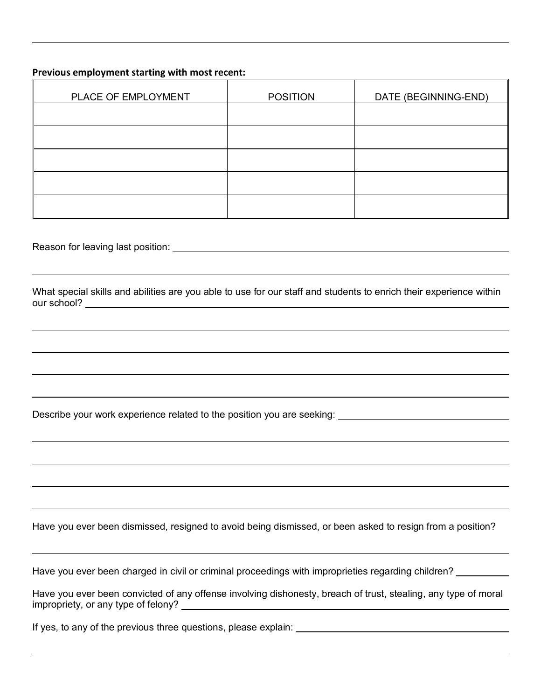#### **Previous employment starting with most recent:**

| PLACE OF EMPLOYMENT | <b>POSITION</b> | DATE (BEGINNING-END) |
|---------------------|-----------------|----------------------|
|                     |                 |                      |
|                     |                 |                      |
|                     |                 |                      |
|                     |                 |                      |
|                     |                 |                      |

Reason for leaving last position: **Example 2018** 

What special skills and abilities are you able to use for our staff and students to enrich their experience within our school?

Describe your work experience related to the position you are seeking:

Have you ever been dismissed, resigned to avoid being dismissed, or been asked to resign from a position?

Have you ever been charged in civil or criminal proceedings with improprieties regarding children?

Have you ever been convicted of any offense involving dishonesty, breach of trust, stealing, any type of moral impropriety, or any type of felony?

If yes, to any of the previous three questions, please explain: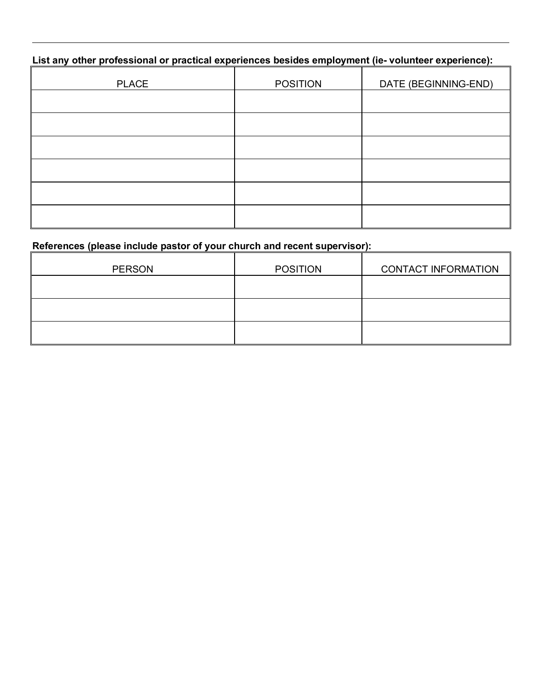## **List any other professional or practical experiences besides employment (ie- volunteer experience):**

| <b>PLACE</b> | <b>POSITION</b> | DATE (BEGINNING-END) |
|--------------|-----------------|----------------------|
|              |                 |                      |
|              |                 |                      |
|              |                 |                      |
|              |                 |                      |
|              |                 |                      |
|              |                 |                      |

## **References (please include pastor of your church and recent supervisor):**

| <b>PERSON</b> | <b>POSITION</b> | <b>CONTACT INFORMATION</b> |
|---------------|-----------------|----------------------------|
|               |                 |                            |
|               |                 |                            |
|               |                 |                            |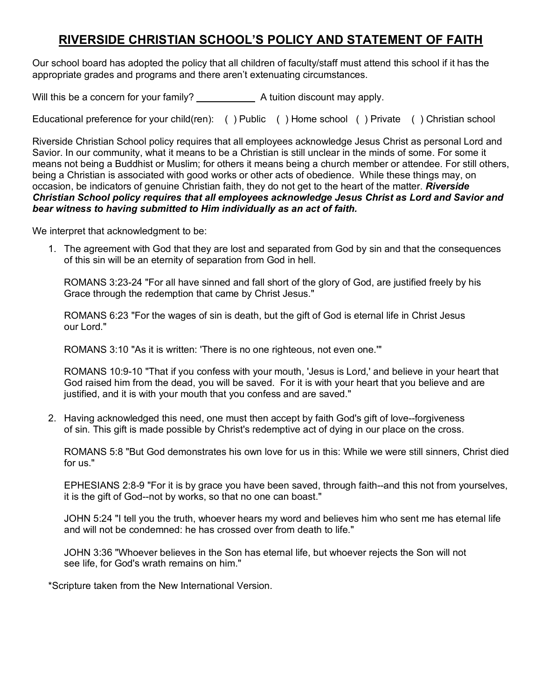### **RIVERSIDE CHRISTIAN SCHOOL'S POLICY AND STATEMENT OF FAITH**

Our school board has adopted the policy that all children of faculty/staff must attend this school if it has the appropriate grades and programs and there aren't extenuating circumstances.

Will this be a concern for your family? A tuition discount may apply.

Educational preference for your child(ren): ( ) Public ( ) Home school ( ) Private ( ) Christian school

Riverside Christian School policy requires that all employees acknowledge Jesus Christ as personal Lord and Savior. In our community, what it means to be a Christian is still unclear in the minds of some. For some it means not being a Buddhist or Muslim; for others it means being a church member or attendee. For still others, being a Christian is associated with good works or other acts of obedience. While these things may, on occasion, be indicators of genuine Christian faith, they do not get to the heart of the matter. *Riverside Christian School policy requires that all employees acknowledge Jesus Christ as Lord and Savior and bear witness to having submitted to Him individually as an act of faith.*

We interpret that acknowledgment to be:

1. The agreement with God that they are lost and separated from God by sin and that the consequences of this sin will be an eternity of separation from God in hell.

ROMANS 3:23-24 "For all have sinned and fall short of the glory of God, are justified freely by his Grace through the redemption that came by Christ Jesus."

ROMANS 6:23 "For the wages of sin is death, but the gift of God is eternal life in Christ Jesus our Lord."

ROMANS 3:10 "As it is written: 'There is no one righteous, not even one.'"

ROMANS 10:9-10 "That if you confess with your mouth, 'Jesus is Lord,' and believe in your heart that God raised him from the dead, you will be saved. For it is with your heart that you believe and are justified, and it is with your mouth that you confess and are saved."

2. Having acknowledged this need, one must then accept by faith God's gift of love--forgiveness of sin. This gift is made possible by Christ's redemptive act of dying in our place on the cross.

ROMANS 5:8 "But God demonstrates his own love for us in this: While we were still sinners, Christ died for us."

EPHESIANS 2:8-9 "For it is by grace you have been saved, through faith--and this not from yourselves, it is the gift of God--not by works, so that no one can boast."

JOHN 5:24 "I tell you the truth, whoever hears my word and believes him who sent me has eternal life and will not be condemned: he has crossed over from death to life."

JOHN 3:36 "Whoever believes in the Son has eternal life, but whoever rejects the Son will not see life, for God's wrath remains on him."

\*Scripture taken from the New International Version.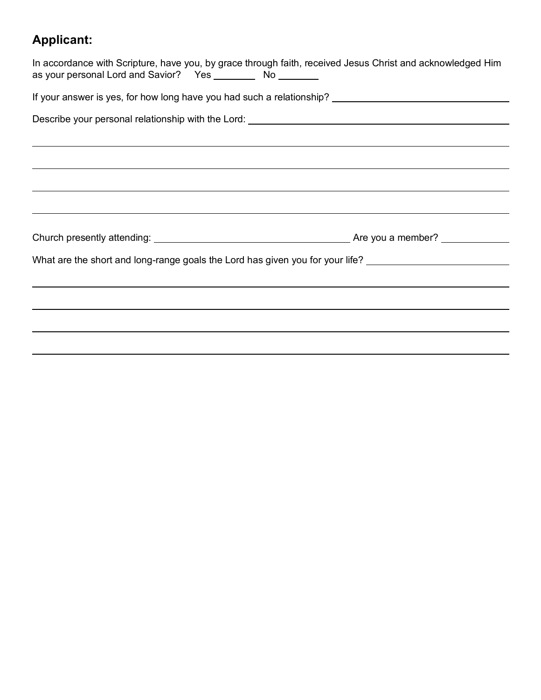# **Applicant:**

| In accordance with Scripture, have you, by grace through faith, received Jesus Christ and acknowledged Him<br>as your personal Lord and Savior? Yes __________ No ________                                                     |
|--------------------------------------------------------------------------------------------------------------------------------------------------------------------------------------------------------------------------------|
| If your answer is yes, for how long have you had such a relationship? ______________________________                                                                                                                           |
| Describe your personal relationship with the Lord: \\esp \\esp \\esp \\esp \\esp \\esp \\esp \\esp \\esp \\esp \\esp \\esp \\esp \\esp \\esp \\esp \\esp \\esp \\esp \\esp \\esp \\esp \\esp \\esp \\esp \\esp \\esp \\esp \\e |
|                                                                                                                                                                                                                                |
|                                                                                                                                                                                                                                |
|                                                                                                                                                                                                                                |
|                                                                                                                                                                                                                                |
|                                                                                                                                                                                                                                |
| What are the short and long-range goals the Lord has given you for your life?                                                                                                                                                  |
|                                                                                                                                                                                                                                |
|                                                                                                                                                                                                                                |
|                                                                                                                                                                                                                                |
|                                                                                                                                                                                                                                |
|                                                                                                                                                                                                                                |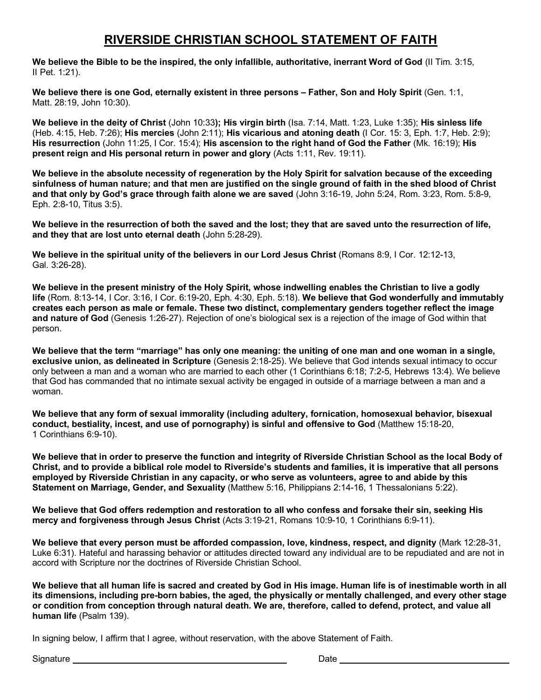## **RIVERSIDE CHRISTIAN SCHOOL STATEMENT OF FAITH**

**We believe the Bible to be the inspired, the only infallible, authoritative, inerrant Word of God** (II Tim. 3:15, II Pet. 1:21).

**We believe there is one God, eternally existent in three persons – Father, Son and Holy Spirit** (Gen. 1:1, Matt. 28:19, John 10:30).

**We believe in the deity of Christ** (John 10:33**); His virgin birth** (Isa. 7:14, Matt. 1:23, Luke 1:35); **His sinless life** (Heb. 4:15, Heb. 7:26); **His mercies** (John 2:11); **His vicarious and atoning death** (I Cor. 15: 3, Eph. 1:7, Heb. 2:9); **His resurrection** (John 11:25, I Cor. 15:4); **His ascension to the right hand of God the Father** (Mk. 16:19); **His present reign and His personal return in power and glory** (Acts 1:11, Rev. 19:11).

**We believe in the absolute necessity of regeneration by the Holy Spirit for salvation because of the exceeding sinfulness of human nature; and that men are justified on the single ground of faith in the shed blood of Christ and that only by God's grace through faith alone we are saved** (John 3:16-19, John 5:24, Rom. 3:23, Rom. 5:8-9, Eph. 2:8-10, Titus 3:5).

**We believe in the resurrection of both the saved and the lost; they that are saved unto the resurrection of life, and they that are lost unto eternal death** (John 5:28-29).

**We believe in the spiritual unity of the believers in our Lord Jesus Christ** (Romans 8:9, I Cor. 12:12-13, Gal. 3:26-28).

**We believe in the present ministry of the Holy Spirit, whose indwelling enables the Christian to live a godly life** (Rom. 8:13-14, I Cor. 3:16, I Cor. 6:19-20, Eph. 4:30, Eph. 5:18). **We believe that God wonderfully and immutably creates each person as male or female. These two distinct, complementary genders together reflect the image and nature of God** (Genesis 1:26-27). Rejection of one's biological sex is a rejection of the image of God within that person.

**We believe that the term "marriage" has only one meaning: the uniting of one man and one woman in a single, exclusive union, as delineated in Scripture** (Genesis 2:18-25). We believe that God intends sexual intimacy to occur only between a man and a woman who are married to each other (1 Corinthians 6:18; 7:2-5, Hebrews 13:4). We believe that God has commanded that no intimate sexual activity be engaged in outside of a marriage between a man and a woman.

**We believe that any form of sexual immorality (including adultery, fornication, homosexual behavior, bisexual conduct, bestiality, incest, and use of pornography) is sinful and offensive to God** (Matthew 15:18-20, 1 Corinthians 6:9-10).

**We believe that in order to preserve the function and integrity of Riverside Christian School as the local Body of Christ, and to provide a biblical role model to Riverside's students and families, it is imperative that all persons employed by Riverside Christian in any capacity, or who serve as volunteers, agree to and abide by this Statement on Marriage, Gender, and Sexuality** (Matthew 5:16, Philippians 2:14-16, 1 Thessalonians 5:22).

**We believe that God offers redemption and restoration to all who confess and forsake their sin, seeking His mercy and forgiveness through Jesus Christ** (Acts 3:19-21, Romans 10:9-10, 1 Corinthians 6:9-11).

**We believe that every person must be afforded compassion, love, kindness, respect, and dignity** (Mark 12:28-31, Luke 6:31). Hateful and harassing behavior or attitudes directed toward any individual are to be repudiated and are not in accord with Scripture nor the doctrines of Riverside Christian School.

**We believe that all human life is sacred and created by God in His image. Human life is of inestimable worth in all its dimensions, including pre-born babies, the aged, the physically or mentally challenged, and every other stage or condition from conception through natural death. We are, therefore, called to defend, protect, and value all human life** (Psalm 139).

In signing below, I affirm that I agree, without reservation, with the above Statement of Faith.

Signature Date